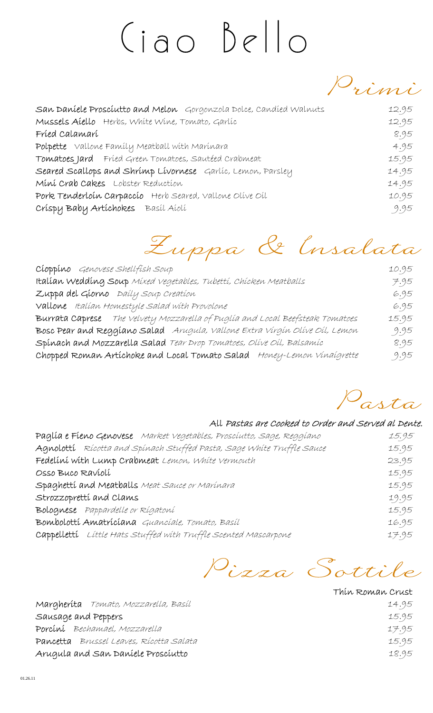## Ciao Bello

Primi

| San Daníele Proscíutto and Melon Gorgonzola Dolce, Candied Walnuts | 12.95 |
|--------------------------------------------------------------------|-------|
| Mussels Aiello Herbs, White Wine, Tomato, Garlic                   | 12.95 |
| Fried Calamari                                                     | 8.95  |
| Polpette vallone Family Meatball with Marinara                     | 4.95  |
| Tomatoes Jard Fried Green Tomatoes, Sautéed Crabmeat               | 15.95 |
| Seared Scallops and Shrimp Livornese Garlic, Lemon, Parsley        | 14.95 |
| Míní Crab Cakes Lobster Reduction                                  | 14.95 |
| Pork Tenderloin Carpaccio Herb Seared, vallone Olive Oil           | 10.95 |
| Crispy Baby Artichokes Basil Aioli                                 | 9.95  |



| CLOPPLINO Genovese Shellfish Soup                                             | 10.95 |
|-------------------------------------------------------------------------------|-------|
| Italian Wedding Soup Mixed vegetables, Tubetti, Chicken Meatballs             | 7.95  |
| Zuppa del Gíorno Daily Soup Creation                                          | 6.95  |
| Vallone Italian Homestyle Salad with Provolone                                | 6.95  |
| Burrata Caprese The velvety Mozzarella of Puglía and Local Beefsteak Tomatoes | 15.95 |
| Bosc Pear and Reggiano Salad Anigula, vallone Extra Virgin Olive Oil, Lemon   | 9.95  |
| Spinach and Mozzarella Salad Tear Drop Tomatoes, Olive Oil, Balsamic          | 8.95  |
| Chopped Roman Artichoke and Local Tomato Salad Honey-Lemon Vinaigrette        | 9.95  |



## All Pastas are Cooked to Order and Served al Dente.

| Paglía e Fíeno Genovese Market vegetables, Proscíutto, Sage, Reggíano  | 15.95 |
|------------------------------------------------------------------------|-------|
| Agnolotti Ricotta and Spinach Stuffed Pasta, Sage White Truffle Sauce  | 15.95 |
| Fedelini with Lump Crabmeat Lemon, White Vermouth                      | 23.95 |
| OSSO Buco Ravioli                                                      | 15.95 |
| Spaghetti and Meatballs Meat Sauce or Marinara                         | 15.95 |
| Strozzoprettí and Clams                                                | 19.95 |
| Bolognese Pappardelle or Rigatoni                                      | 15.95 |
| Bombolotti Amatriciana Guanciale, Tomato, Basil                        | 16.95 |
| <b>Cappelletti</b> Little Hats Stuffed with Truffle Scented Mascarpone | 17.95 |

Pizza Sottile

Thin Roman Crust

| Margheríta Tomato, Mozzarella, Basíl    | 14.95 |
|-----------------------------------------|-------|
| Sausage and Peppers                     | 15.95 |
| Porcini Bechamael, Mozzarella           | 17.95 |
| Pancetta Brussel Leaves, Rícotta Salata | 15.95 |
| Arugula and San Daníele Proscíutto      | 18.95 |